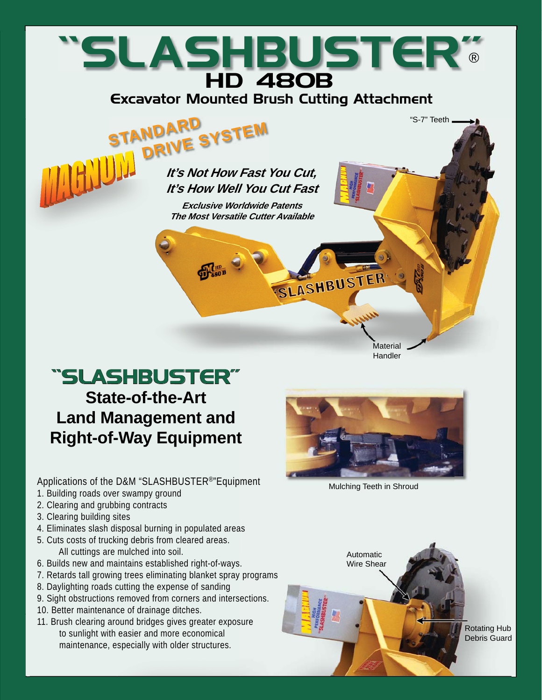# "SLASHBUSTER" HD 480B ®

Excavator Mounted Brush Cutting Attachment



**It's Not How Fast You Cut, It's How Well You Cut Fast**

**Exclusive Worldwide Patents The Most Versatile Cutter Available** 

# "SLASHBUSTER" **State-of-the-Art Land Management and Right-of-Way Equipment**

Applications of the D&M "SLASHBUSTER®"Equipment

- 1. Building roads over swampy ground
- 2. Clearing and grubbing contracts
- 3. Clearing building sites
- 4. Eliminates slash disposal burning in populated areas
- 5. Cuts costs of trucking debris from cleared areas. All cuttings are mulched into soil.
- 6. Builds new and maintains established right-of-ways.
- 7. Retards tall growing trees eliminating blanket spray programs
- 8. Daylighting roads cutting the expense of sanding
- 9. Sight obstructions removed from corners and intersections.
- 10. Better maintenance of drainage ditches.
- 11. Brush clearing around bridges gives greater exposure to sunlight with easier and more economical maintenance, especially with older structures.



**Material Handler** 

SLASHBUSTER

"S-7" Teeth

Mulching Teeth in Shroud